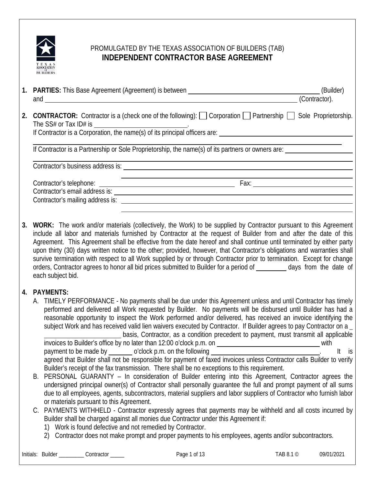

# PROMULGATED BY THE TEXAS ASSOCIATION OF BUILDERS (TAB) **INDEPENDENT CONTRACTOR BASE AGREEMENT**

|    | and $\overline{\phantom{a}}$                                                                                                                                                                                                                                                                                                                                                                                                                                                                                                                                                                                                                                                                                                                                                                                                                                        | (Contractor). |  |
|----|---------------------------------------------------------------------------------------------------------------------------------------------------------------------------------------------------------------------------------------------------------------------------------------------------------------------------------------------------------------------------------------------------------------------------------------------------------------------------------------------------------------------------------------------------------------------------------------------------------------------------------------------------------------------------------------------------------------------------------------------------------------------------------------------------------------------------------------------------------------------|---------------|--|
| 2. | <b>CONTRACTOR:</b> Contractor is a (check one of the following): $\Box$ Corporation $\Box$ Partnership $\Box$ Sole Proprietorship.                                                                                                                                                                                                                                                                                                                                                                                                                                                                                                                                                                                                                                                                                                                                  |               |  |
|    | If Contractor is a Partnership or Sole Proprietorship, the name(s) of its partners or owners are:                                                                                                                                                                                                                                                                                                                                                                                                                                                                                                                                                                                                                                                                                                                                                                   |               |  |
|    |                                                                                                                                                                                                                                                                                                                                                                                                                                                                                                                                                                                                                                                                                                                                                                                                                                                                     |               |  |
|    |                                                                                                                                                                                                                                                                                                                                                                                                                                                                                                                                                                                                                                                                                                                                                                                                                                                                     |               |  |
| 3. | WORK: The work and/or materials (collectively, the Work) to be supplied by Contractor pursuant to this Agreement<br>include all labor and materials furnished by Contractor at the request of Builder from and after the date of this<br>Agreement. This Agreement shall be effective from the date hereof and shall continue until terminated by either party<br>upon thirty (30) days written notice to the other; provided, however, that Contractor's obligations and warranties shall<br>survive termination with respect to all Work supplied by or through Contractor prior to termination. Except for change<br>orders, Contractor agrees to honor all bid prices submitted to Builder for a period of ________ days from the date of<br>each subject bid.                                                                                                  |               |  |
|    | 4. PAYMENTS:<br>A. TIMELY PERFORMANCE - No payments shall be due under this Agreement unless and until Contractor has timely<br>performed and delivered all Work requested by Builder. No payments will be disbursed until Builder has had a<br>reasonable opportunity to inspect the Work performed and/or delivered, has received an invoice identifying the<br>subject Work and has received valid lien waivers executed by Contractor. If Builder agrees to pay Contractor on a<br>basis, Contractor, as a condition precedent to payment, must transmit all applicable<br>payment to be made by ________ o'clock p.m. on the following<br>agreed that Builder shall not be responsible for payment of faxed invoices unless Contractor calls Builder to verify<br>Builder's receipt of the fax transmission. There shall be no exceptions to this requirement. | $It$ is       |  |
|    | B. PERSONAL GUARANTY - In consideration of Builder entering into this Agreement, Contractor agrees the<br>undersigned principal owner(s) of Contractor shall personally guarantee the full and prompt payment of all sums<br>due to all employees, agents, subcontractors, material suppliers and labor suppliers of Contractor who furnish labor<br>or materials pursuant to this Agreement.                                                                                                                                                                                                                                                                                                                                                                                                                                                                       |               |  |
|    | DAVMENTS WITHHELD Contractor overgeely agroes that payments may be withhold and all costs incurred by                                                                                                                                                                                                                                                                                                                                                                                                                                                                                                                                                                                                                                                                                                                                                               |               |  |

- PAYMENTS WITHHELD Contractor expressly agrees that payments may be withheld and all costs incurred by Builder shall be charged against all monies due Contractor under this Agreement if:
	- 1) Work is found defective and not remedied by Contractor.
	- 2) Contractor does not make prompt and proper payments to his employees, agents and/or subcontractors.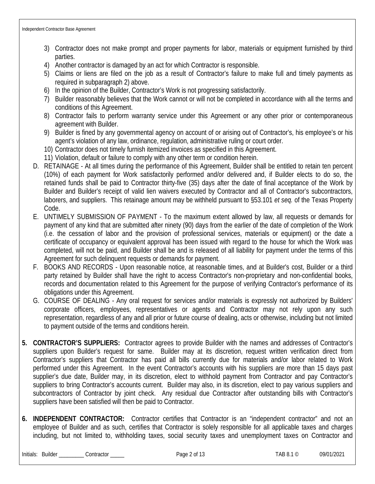- 3) Contractor does not make prompt and proper payments for labor, materials or equipment furnished by third parties.
- 4) Another contractor is damaged by an act for which Contractor is responsible.
- 5) Claims or liens are filed on the job as a result of Contractor's failure to make full and timely payments as required in subparagraph 2) above.
- 6) In the opinion of the Builder, Contractor's Work is not progressing satisfactorily.
- 7) Builder reasonably believes that the Work cannot or will not be completed in accordance with all the terms and conditions of this Agreement.
- 8) Contractor fails to perform warranty service under this Agreement or any other prior or contemporaneous agreement with Builder.
- 9) Builder is fined by any governmental agency on account of or arising out of Contractor's, his employee's or his agent's violation of any law, ordinance, regulation, administrative ruling or court order.
- 10) Contractor does not timely furnish itemized invoices as specified in this Agreement.
- 11) Violation, default or failure to comply with any other term or condition herein.
- D. RETAINAGE At all times during the performance of this Agreement, Builder shall be entitled to retain ten percent (10%) of each payment for Work satisfactorily performed and/or delivered and, if Builder elects to do so, the retained funds shall be paid to Contractor thirty-five (35) days after the date of final acceptance of the Work by Builder and Builder's receipt of valid lien waivers executed by Contractor and all of Contractor's subcontractors, laborers, and suppliers. This retainage amount may be withheld pursuant to §53.101 *et seq.* of the Texas Property Code.
- E. UNTIMELY SUBMISSION OF PAYMENT To the maximum extent allowed by law, all requests or demands for payment of any kind that are submitted after ninety (90) days from the earlier of the date of completion of the Work (i.e. the cessation of labor and the provision of professional services, materials or equipment) or the date a certificate of occupancy or equivalent approval has been issued with regard to the house for which the Work was completed, will not be paid, and Builder shall be and is released of all liability for payment under the terms of this Agreement for such delinquent requests or demands for payment.
- F. BOOKS AND RECORDS Upon reasonable notice, at reasonable times, and at Builder's cost, Builder or a third party retained by Builder shall have the right to access Contractor's non-proprietary and non-confidential books, records and documentation related to this Agreement for the purpose of verifying Contractor's performance of its obligations under this Agreement.
- G. COURSE OF DEALING Any oral request for services and/or materials is expressly not authorized by Builders' corporate officers, employees, representatives or agents and Contractor may not rely upon any such representation, regardless of any and all prior or future course of dealing, acts or otherwise, including but not limited to payment outside of the terms and conditions herein.
- **5. CONTRACTOR'S SUPPLIERS:** Contractor agrees to provide Builder with the names and addresses of Contractor's suppliers upon Builder's request for same. Builder may at its discretion, request written verification direct from Contractor's suppliers that Contractor has paid all bills currently due for materials and/or labor related to Work performed under this Agreement. In the event Contractor's accounts with his suppliers are more than 15 days past supplier's due date, Builder may, in its discretion, elect to withhold payment from Contractor and pay Contractor's suppliers to bring Contractor's accounts current. Builder may also, in its discretion, elect to pay various suppliers and subcontractors of Contractor by joint check. Any residual due Contractor after outstanding bills with Contractor's suppliers have been satisfied will then be paid to Contractor.
- **6. INDEPENDENT CONTRACTOR:** Contractor certifies that Contractor is an "independent contractor" and not an employee of Builder and as such, certifies that Contractor is solely responsible for all applicable taxes and charges including, but not limited to, withholding taxes, social security taxes and unemployment taxes on Contractor and

Initials: Builder \_\_\_\_\_\_\_\_\_ Contractor \_\_\_\_\_ Page 2 of 13 TAB 8.1 © 09/01/2021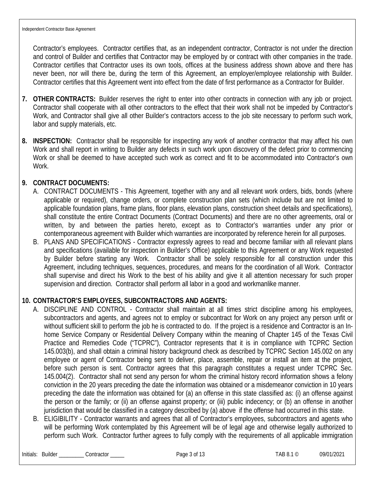Contractor's employees. Contractor certifies that, as an independent contractor, Contractor is not under the direction and control of Builder and certifies that Contractor may be employed by or contract with other companies in the trade. Contractor certifies that Contractor uses its own tools, offices at the business address shown above and there has never been, nor will there be, during the term of this Agreement, an employer/employee relationship with Builder. Contractor certifies that this Agreement went into effect from the date of first performance as a Contractor for Builder.

- **7. OTHER CONTRACTS:** Builder reserves the right to enter into other contracts in connection with any job or project. Contractor shall cooperate with all other contractors to the effect that their work shall not be impeded by Contractor's Work, and Contractor shall give all other Builder's contractors access to the job site necessary to perform such work, labor and supply materials, etc.
- **8. INSPECTION:** Contractor shall be responsible for inspecting any work of another contractor that may affect his own Work and shall report in writing to Builder any defects in such work upon discovery of the defect prior to commencing Work or shall be deemed to have accepted such work as correct and fit to be accommodated into Contractor's own Work.

### **9. CONTRACT DOCUMENTS:**

- A. CONTRACT DOCUMENTS This Agreement, together with any and all relevant work orders, bids, bonds (where applicable or required), change orders, or complete construction plan sets (which include but are not limited to applicable foundation plans, frame plans, floor plans, elevation plans, construction sheet details and specifications), shall constitute the entire Contract Documents (Contract Documents) and there are no other agreements, oral or written, by and between the parties hereto, except as to Contractor's warranties under any prior or contemporaneous agreement with Builder which warranties are incorporated by reference herein for all purposes.
- B. PLANS AND SPECIFICATIONS Contractor expressly agrees to read and become familiar with all relevant plans and specifications (available for inspection in Builder's Office) applicable to this Agreement or any Work requested by Builder before starting any Work. Contractor shall be solely responsible for all construction under this Agreement, including techniques, sequences, procedures, and means for the coordination of all Work. Contractor shall supervise and direct his Work to the best of his ability and give it all attention necessary for such proper supervision and direction. Contractor shall perform all labor in a good and workmanlike manner.

### **10. CONTRACTOR'S EMPLOYEES, SUBCONTRACTORS AND AGENTS:**

- A. DISCIPLINE AND CONTROL Contractor shall maintain at all times strict discipline among his employees, subcontractors and agents, and agrees not to employ or subcontract for Work on any project any person unfit or without sufficient skill to perform the job he is contracted to do. If the project is a residence and Contractor is an Inhome Service Company or Residential Delivery Company within the meaning of Chapter 145 of the Texas Civil Practice and Remedies Code ("TCPRC"), Contractor represents that it is in compliance with TCPRC Section 145.003(b), and shall obtain a criminal history background check as described by TCPRC Section 145.002 on any employee or agent of Contractor being sent to deliver, place, assemble, repair or install an item at the project, before such person is sent. Contractor agrees that this paragraph constitutes a request under TCPRC Sec. 145.004(2). Contractor shall not send any person for whom the criminal history record information shows a felony conviction in the 20 years preceding the date the information was obtained or a misdemeanor conviction in 10 years preceding the date the information was obtained for (a) an offense in this state classified as: (i) an offense against the person or the family; or (ii) an offense against property; or (iii) public indecency; or (b) an offense in another jurisdiction that would be classified in a category described by (a) above if the offense had occurred in this state.
- B. ELIGIBILITY Contractor warrants and agrees that all of Contractor's employees, subcontractors and agents who will be performing Work contemplated by this Agreement will be of legal age and otherwise legally authorized to perform such Work. Contractor further agrees to fully comply with the requirements of all applicable immigration

Initials: Builder \_\_\_\_\_\_\_\_\_ Contractor \_\_\_\_\_ contractor \_\_\_\_\_ Page 3 of 13 TAB 8.1 © 09/01/2021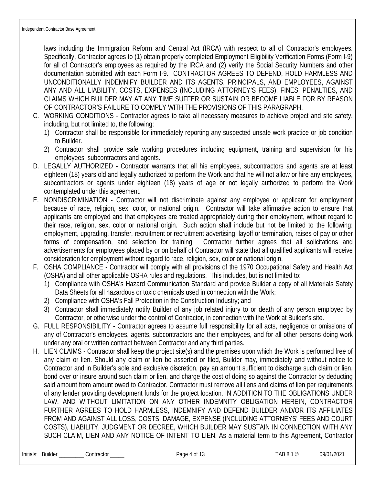laws including the Immigration Reform and Central Act (IRCA) with respect to all of Contractor's employees. Specifically, Contractor agrees to (1) obtain properly completed Employment Eligibility Verification Forms (Form I-9) for all of Contractor's employees as required by the IRCA and (2) verify the Social Security Numbers and other documentation submitted with each Form I-9. CONTRACTOR AGREES TO DEFEND, HOLD HARMLESS AND UNCONDITIONALLY INDEMNIFY BUILDER AND ITS AGENTS, PRINCIPALS, AND EMPLOYEES, AGAINST ANY AND ALL LIABILITY, COSTS, EXPENSES (INCLUDING ATTORNEY'S FEES), FINES, PENALTIES, AND CLAIMS WHICH BUILDER MAY AT ANY TIME SUFFER OR SUSTAIN OR BECOME LIABLE FOR BY REASON OF CONTRACTOR'S FAILURE TO COMPLY WITH THE PROVISIONS OF THIS PARAGRAPH.

- C. WORKING CONDITIONS Contractor agrees to take all necessary measures to achieve project and site safety, including, but not limited to, the following:
	- 1) Contractor shall be responsible for immediately reporting any suspected unsafe work practice or job condition to Builder.
	- 2) Contractor shall provide safe working procedures including equipment, training and supervision for his employees, subcontractors and agents.
- D. LEGALLY AUTHORIZED Contractor warrants that all his employees, subcontractors and agents are at least eighteen (18) years old and legally authorized to perform the Work and that he will not allow or hire any employees, subcontractors or agents under eighteen (18) years of age or not legally authorized to perform the Work contemplated under this agreement.
- E. NONDISCRIMINATION Contractor will not discriminate against any employee or applicant for employment because of race, religion, sex, color, or national origin. Contractor will take affirmative action to ensure that applicants are employed and that employees are treated appropriately during their employment, without regard to their race, religion, sex, color or national origin. Such action shall include but not be limited to the following: employment, upgrading, transfer, recruitment or recruitment advertising, layoff or termination, raises of pay or other forms of compensation, and selection for training. Contractor further agrees that all solicitations and advertisements for employees placed by or on behalf of Contractor will state that all qualified applicants will receive consideration for employment without regard to race, religion, sex, color or national origin.
- F. OSHA COMPLIANCE Contractor will comply with all provisions of the 1970 Occupational Safety and Health Act (OSHA) and all other applicable OSHA rules and regulations. This includes, but is not limited to:
	- 1) Compliance with OSHA's Hazard Communication Standard and provide Builder a copy of all Materials Safety Data Sheets for all hazardous or toxic chemicals used in connection with the Work;
	- 2) Compliance with OSHA's Fall Protection in the Construction Industry; and
	- 3) Contractor shall immediately notify Builder of any job related injury to or death of any person employed by Contractor, or otherwise under the control of Contractor, in connection with the Work at Builder's site.
- G. FULL RESPONSIBILITY Contractor agrees to assume full responsibility for all acts, negligence or omissions of any of Contractor's employees, agents, subcontractors and their employees, and for all other persons doing work under any oral or written contract between Contractor and any third parties.
- H. LIEN CLAIMS Contractor shall keep the project site(s) and the premises upon which the Work is performed free of any claim or lien. Should any claim or lien be asserted or filed, Builder may, immediately and without notice to Contractor and in Builder's sole and exclusive discretion, pay an amount sufficient to discharge such claim or lien, bond over or insure around such claim or lien, and charge the cost of doing so against the Contractor by deducting said amount from amount owed to Contractor. Contractor must remove all liens and claims of lien per requirements of any lender providing development funds for the project location. IN ADDITION TO THE OBLIGATIONS UNDER LAW, AND WITHOUT LIMITATION ON ANY OTHER INDEMNITY OBLIGATION HEREIN, CONTRACTOR FURTHER AGREES TO HOLD HARMLESS, INDEMNIFY AND DEFEND BUILDER AND/OR ITS AFFILIATES FROM AND AGAINST ALL LOSS, COSTS, DAMAGE, EXPENSE (INCLUDING ATTORNEYS' FEES AND COURT COSTS), LIABILITY, JUDGMENT OR DECREE, WHICH BUILDER MAY SUSTAIN IN CONNECTION WITH ANY SUCH CLAIM, LIEN AND ANY NOTICE OF INTENT TO LIEN. As a material term to this Agreement, Contractor

 $\text{Contractor}$   $\text{SOLUTION}$  Page 4 of 13 TAB 8.1 © 09/01/2021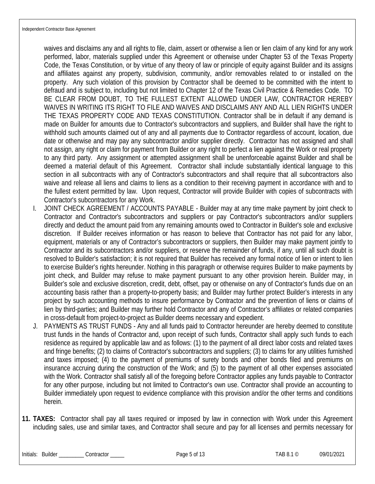waives and disclaims any and all rights to file, claim, assert or otherwise a lien or lien claim of any kind for any work performed, labor, materials supplied under this Agreement or otherwise under Chapter 53 of the Texas Property Code, the Texas Constitution, or by virtue of any theory of law or principle of equity against Builder and its assigns and affiliates against any property, subdivision, community, and/or removables related to or installed on the property. Any such violation of this provision by Contractor shall be deemed to be committed with the intent to defraud and is subject to, including but not limited to Chapter 12 of the Texas Civil Practice & Remedies Code. TO BE CLEAR FROM DOUBT, TO THE FULLEST EXTENT ALLOWED UNDER LAW, CONTRACTOR HEREBY WAIVES IN WRITING ITS RIGHT TO FILE AND WAIVES AND DISCLAIMS ANY AND ALL LIEN RIGHTS UNDER THE TEXAS PROPERTY CODE AND TEXAS CONSTITUTION. Contractor shall be in default if any demand is made on Builder for amounts due to Contractor's subcontractors and suppliers, and Builder shall have the right to withhold such amounts claimed out of any and all payments due to Contractor regardless of account, location, due date or otherwise and may pay any subcontractor and/or supplier directly. Contractor has not assigned and shall not assign, any right or claim for payment from Builder or any right to perfect a lien against the Work or real property to any third party. Any assignment or attempted assignment shall be unenforceable against Builder and shall be deemed a material default of this Agreement. Contractor shall include substantially identical language to this section in all subcontracts with any of Contractor's subcontractors and shall require that all subcontractors also waive and release all liens and claims to liens as a condition to their receiving payment in accordance with and to the fullest extent permitted by law. Upon request, Contractor will provide Builder with copies of subcontracts with Contractor's subcontractors for any Work.

- I. JOINT CHECK AGREEMENT / ACCOUNTS PAYABLE Builder may at any time make payment by joint check to Contractor and Contractor's subcontractors and suppliers or pay Contractor's subcontractors and/or suppliers directly and deduct the amount paid from any remaining amounts owed to Contractor in Builder's sole and exclusive discretion. If Builder receives information or has reason to believe that Contractor has not paid for any labor, equipment, materials or any of Contractor's subcontractors or suppliers, then Builder may make payment jointly to Contractor and its subcontractors and/or suppliers, or reserve the remainder of funds, if any, until all such doubt is resolved to Builder's satisfaction; it is not required that Builder has received any formal notice of lien or intent to lien to exercise Builder's rights hereunder. Nothing in this paragraph or otherwise requires Builder to make payments by joint check, and Builder may refuse to make payment pursuant to any other provision herein. Builder may, in Builder's sole and exclusive discretion, credit, debt, offset, pay or otherwise on any of Contractor's funds due on an accounting basis rather than a property-to-property basis; and Builder may further protect Builder's interests in any project by such accounting methods to insure performance by Contractor and the prevention of liens or claims of lien by third-parties; and Builder may further hold Contractor and any of Contractor's affiliates or related companies in cross-default from project-to-project as Builder deems necessary and expedient.
- J. PAYMENTS AS TRUST FUNDS Any and all funds paid to Contractor hereunder are hereby deemed to constitute trust funds in the hands of Contractor and, upon receipt of such funds, Contractor shall apply such funds to each residence as required by applicable law and as follows: (1) to the payment of all direct labor costs and related taxes and fringe benefits; (2) to claims of Contractor's subcontractors and suppliers; (3) to claims for any utilities furnished and taxes imposed; (4) to the payment of premiums of surety bonds and other bonds filed and premiums on insurance accruing during the construction of the Work; and (5) to the payment of all other expenses associated with the Work. Contractor shall satisfy all of the foregoing before Contractor applies any funds payable to Contractor for any other purpose, including but not limited to Contractor's own use. Contractor shall provide an accounting to Builder immediately upon request to evidence compliance with this provision and/or the other terms and conditions herein.
- **11. TAXES:** Contractor shall pay all taxes required or imposed by law in connection with Work under this Agreement including sales, use and similar taxes, and Contractor shall secure and pay for all licenses and permits necessary for

Initials: Builder \_\_\_\_\_\_\_\_\_ Contractor \_\_\_\_\_ contractor \_\_\_\_\_ Page 5 of 13 TAB 8.1 © 09/01/2021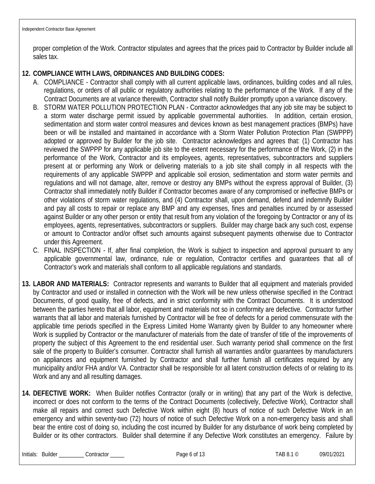proper completion of the Work. Contractor stipulates and agrees that the prices paid to Contractor by Builder include all sales tax.

### **12. COMPLIANCE WITH LAWS, ORDINANCES AND BUILDING CODES:**

- A. COMPLIANCE Contractor shall comply with all current applicable laws, ordinances, building codes and all rules, regulations, or orders of all public or regulatory authorities relating to the performance of the Work. If any of the Contract Documents are at variance therewith, Contractor shall notify Builder promptly upon a variance discovery.
- B. STORM WATER POLLUTION PROTECTION PLAN Contractor acknowledges that any job site may be subject to a storm water discharge permit issued by applicable governmental authorities. In addition, certain erosion, sedimentation and storm water control measures and devices known as best management practices (BMPs) have been or will be installed and maintained in accordance with a Storm Water Pollution Protection Plan (SWPPP) adopted or approved by Builder for the job site. Contractor acknowledges and agrees that: (1) Contractor has reviewed the SWPPP for any applicable job site to the extent necessary for the performance of the Work, (2) in the performance of the Work, Contractor and its employees, agents, representatives, subcontractors and suppliers present at or performing any Work or delivering materials to a job site shall comply in all respects with the requirements of any applicable SWPPP and applicable soil erosion, sedimentation and storm water permits and regulations and will not damage, alter, remove or destroy any BMPs without the express approval of Builder, (3) Contractor shall immediately notify Builder if Contractor becomes aware of any compromised or ineffective BMPs or other violations of storm water regulations, and (4) Contractor shall, upon demand, defend and indemnify Builder and pay all costs to repair or replace any BMP and any expenses, fines and penalties incurred by or assessed against Builder or any other person or entity that result from any violation of the foregoing by Contractor or any of its employees, agents, representatives, subcontractors or suppliers. Builder may charge back any such cost, expense or amount to Contractor and/or offset such amounts against subsequent payments otherwise due to Contractor under this Agreement.
- C. FINAL INSPECTION If, after final completion, the Work is subject to inspection and approval pursuant to any applicable governmental law, ordinance, rule or regulation, Contractor certifies and guarantees that all of Contractor's work and materials shall conform to all applicable regulations and standards.
- **13. LABOR AND MATERIALS:** Contractor represents and warrants to Builder that all equipment and materials provided by Contractor and used or installed in connection with the Work will be new unless otherwise specified in the Contract Documents, of good quality, free of defects, and in strict conformity with the Contract Documents. It is understood between the parties hereto that all labor, equipment and materials not so in conformity are defective. Contractor further warrants that all labor and materials furnished by Contractor will be free of defects for a period commensurate with the applicable time periods specified in the Express Limited Home Warranty given by Builder to any homeowner where Work is supplied by Contractor or the manufacturer of materials from the date of transfer of title of the improvements of property the subject of this Agreement to the end residential user. Such warranty period shall commence on the first sale of the property to Builder's consumer. Contractor shall furnish all warranties and/or guarantees by manufacturers on appliances and equipment furnished by Contractor and shall further furnish all certificates required by any municipality and/or FHA and/or VA. Contractor shall be responsible for all latent construction defects of or relating to its Work and any and all resulting damages.
- **14. DEFECTIVE WORK:** When Builder notifies Contractor (orally or in writing) that any part of the Work is defective, incorrect or does not conform to the terms of the Contract Documents (collectively, Defective Work), Contractor shall make all repairs and correct such Defective Work within eight (8) hours of notice of such Defective Work in an emergency and within seventy-two (72) hours of notice of such Defective Work on a non-emergency basis and shall bear the entire cost of doing so, including the cost incurred by Builder for any disturbance of work being completed by Builder or its other contractors. Builder shall determine if any Defective Work constitutes an emergency. Failure by

Initials: Builder \_\_\_\_\_\_\_\_\_ Contractor \_\_\_\_\_ Page 6 of 13 TAB 8.1 © 09/01/2021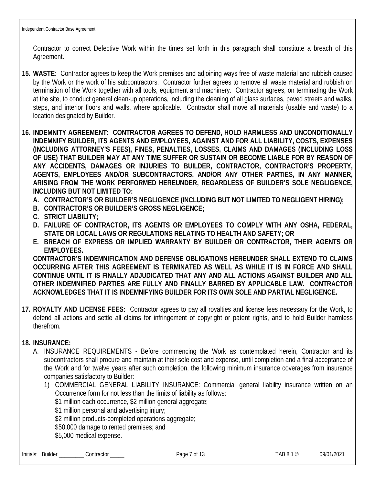Contractor to correct Defective Work within the times set forth in this paragraph shall constitute a breach of this Agreement.

- **15. WASTE:** Contractor agrees to keep the Work premises and adjoining ways free of waste material and rubbish caused by the Work or the work of his subcontractors. Contractor further agrees to remove all waste material and rubbish on termination of the Work together with all tools, equipment and machinery. Contractor agrees, on terminating the Work at the site, to conduct general clean-up operations, including the cleaning of all glass surfaces, paved streets and walks, steps, and interior floors and walls, where applicable. Contractor shall move all materials (usable and waste) to a location designated by Builder.
- **16. INDEMNITY AGREEMENT: CONTRACTOR AGREES TO DEFEND, HOLD HARMLESS AND UNCONDITIONALLY INDEMNIFY BUILDER, ITS AGENTS AND EMPLOYEES, AGAINST AND FOR ALL LIABILITY, COSTS, EXPENSES (INCLUDING ATTORNEY'S FEES), FINES, PENALTIES, LOSSES, CLAIMS AND DAMAGES (INCLUDING LOSS OF USE) THAT BUILDER MAY AT ANY TIME SUFFER OR SUSTAIN OR BECOME LIABLE FOR BY REASON OF ANY ACCIDENTS, DAMAGES OR INJURIES TO BUILDER, CONTRACTOR, CONTRACTOR'S PROPERTY, AGENTS, EMPLOYEES AND/OR SUBCONTRACTORS, AND/OR ANY OTHER PARTIES, IN ANY MANNER, ARISING FROM THE WORK PERFORMED HEREUNDER, REGARDLESS OF BUILDER'S SOLE NEGLIGENCE, INCLUDING BUT NOT LIMITED TO:** 
	- **A. CONTRACTOR'S OR BUILDER'S NEGLIGENCE (INCLUDING BUT NOT LIMITED TO NEGLIGENT HIRING);**
	- **B. CONTRACTOR'S OR BUILDER'S GROSS NEGLIGENCE;**
	- **C. STRICT LIABILITY;**
	- **D. FAILURE OF CONTRACTOR, ITS AGENTS OR EMPLOYEES TO COMPLY WITH ANY OSHA, FEDERAL, STATE OR LOCAL LAWS OR REGULATIONS RELATING TO HEALTH AND SAFETY; OR**
	- **E. BREACH OF EXPRESS OR IMPLIED WARRANTY BY BUILDER OR CONTRACTOR, THEIR AGENTS OR EMPLOYEES.**

**CONTRACTOR'S INDEMNIFICATION AND DEFENSE OBLIGATIONS HEREUNDER SHALL EXTEND TO CLAIMS OCCURRING AFTER THIS AGREEMENT IS TERMINATED AS WELL AS WHILE IT IS IN FORCE AND SHALL CONTINUE UNTIL IT IS FINALLY ADJUDICATED THAT ANY AND ALL ACTIONS AGAINST BUILDER AND ALL OTHER INDEMNIFIED PARTIES ARE FULLY AND FINALLY BARRED BY APPLICABLE LAW. CONTRACTOR ACKNOWLEDGES THAT IT IS INDEMNIFYING BUILDER FOR ITS OWN SOLE AND PARTIAL NEGLIGENCE.**

**17. ROYALTY AND LICENSE FEES:** Contractor agrees to pay all royalties and license fees necessary for the Work, to defend all actions and settle all claims for infringement of copyright or patent rights, and to hold Builder harmless therefrom.

## **18. INSURANCE:**

- A. INSURANCE REQUIREMENTS Before commencing the Work as contemplated herein, Contractor and its subcontractors shall procure and maintain at their sole cost and expense, until completion and a final acceptance of the Work and for twelve years after such completion, the following minimum insurance coverages from insurance companies satisfactory to Builder:
	- 1) COMMERCIAL GENERAL LIABILITY INSURANCE: Commercial general liability insurance written on an Occurrence form for not less than the limits of liability as follows:
		- \$1 million each occurrence, \$2 million general aggregate;
		- \$1 million personal and advertising injury;
		- \$2 million products-completed operations aggregate;
		- \$50,000 damage to rented premises; and
		- \$5,000 medical expense.

Initials: Builder \_\_\_\_\_\_\_\_\_ Contractor \_\_\_\_\_ contractor \_\_\_\_\_ Page 7 of 13 TAB 8.1 © 09/01/2021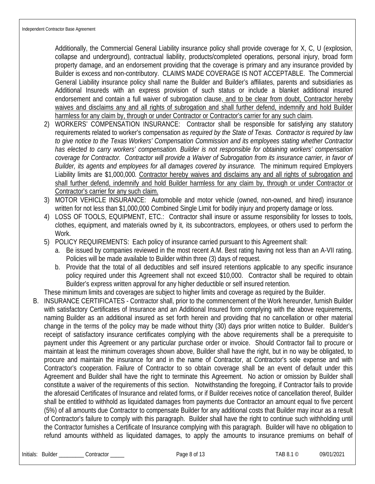Additionally, the Commercial General Liability insurance policy shall provide coverage for X, C, U (explosion, collapse and underground), contractual liability, products/completed operations, personal injury, broad form property damage, and an endorsement providing that the coverage is primary and any insurance provided by Builder is excess and non-contributory. CLAIMS MADE COVERAGE IS NOT ACCEPTABLE. The Commercial General Liability insurance policy shall name the Builder and Builder's affiliates, parents and subsidiaries as Additional Insureds with an express provision of such status or include a blanket additional insured endorsement and contain a full waiver of subrogation clause, and to be clear from doubt, Contractor hereby waives and disclaims any and all rights of subrogation and shall further defend, indemnify and hold Builder harmless for any claim by, through or under Contractor or Contractor's carrier for any such claim.

- 2) WORKERS' COMPENSATION INSURANCE: Contractor shall be responsible for satisfying any statutory requirements related to worker's compensation *as required by the State of Texas. Contractor is required by law to give notice to the Texas Workers' Compensation Commission and its employees stating whether Contractor*  has elected to carry workers' compensation. Builder is not responsible for obtaining workers' compensation *coverage for Contractor. Contractor will provide a Waiver of Subrogation from its insurance carrier, in favor of Builder, its agents and employees for all damages covered by insurance.* The minimum required Employers Liability limits are \$1,000,000*.* Contractor hereby waives and disclaims any and all rights of subrogation and shall further defend, indemnify and hold Builder harmless for any claim by, through or under Contractor or Contractor's carrier for any such claim.
- 3) MOTOR VEHICLE INSURANCE: Automobile and motor vehicle (owned, non-owned, and hired) insurance written for not less than \$1,000,000 Combined Single Limit for bodily injury and property damage or loss.
- 4) LOSS OF TOOLS, EQUIPMENT, ETC.: Contractor shall insure or assume responsibility for losses to tools, clothes, equipment, and materials owned by it, its subcontractors, employees, or others used to perform the Work.
- 5) POLICY REQUIREMENTS: Each policy of insurance carried pursuant to this Agreement shall:
	- a. Be issued by companies reviewed in the most recent A.M. Best rating having not less than an A-VII rating. Policies will be made available to Builder within three (3) days of request.
	- b. Provide that the total of all deductibles and self insured retentions applicable to any specific insurance policy required under this Agreement shall not exceed \$10,000. Contractor shall be required to obtain Builder's express written approval for any higher deductible or self insured retention.
- These minimum limits and coverages are subject to higher limits and coverage as required by the Builder.
- B. INSURANCE CERTIFICATES Contractor shall, prior to the commencement of the Work hereunder, furnish Builder with satisfactory Certificates of Insurance and an Additional Insured form complying with the above requirements, naming Builder as an additional insured as set forth herein and providing that no cancellation or other material change in the terms of the policy may be made without thirty (30) days prior written notice to Builder. Builder's receipt of satisfactory insurance certificates complying with the above requirements shall be a prerequisite to payment under this Agreement or any particular purchase order or invoice. Should Contractor fail to procure or maintain at least the minimum coverages shown above, Builder shall have the right, but in no way be obligated, to procure and maintain the insurance for and in the name of Contractor, at Contractor's sole expense and with Contractor's cooperation. Failure of Contractor to so obtain coverage shall be an event of default under this Agreement and Builder shall have the right to terminate this Agreement. No action or omission by Builder shall constitute a waiver of the requirements of this section. Notwithstanding the foregoing, if Contractor fails to provide the aforesaid Certificates of Insurance and related forms, or if Builder receives notice of cancellation thereof, Builder shall be entitled to withhold as liquidated damages from payments due Contractor an amount equal to five percent (5%) of all amounts due Contractor to compensate Builder for any additional costs that Builder may incur as a result of Contractor's failure to comply with this paragraph. Builder shall have the right to continue such withholding until the Contractor furnishes a Certificate of Insurance complying with this paragraph. Builder will have no obligation to refund amounts withheld as liquidated damages, to apply the amounts to insurance premiums on behalf of

Initials: Builder \_\_\_\_\_\_\_\_\_ Contractor \_\_\_\_\_ contractor \_\_\_\_\_ Page 8 of 13 TAB 8.1 © 09/01/2021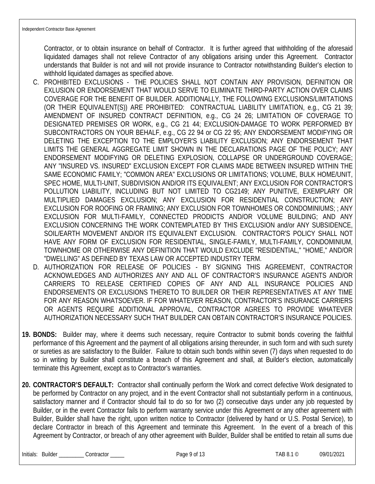Contractor, or to obtain insurance on behalf of Contractor. It is further agreed that withholding of the aforesaid liquidated damages shall not relieve Contractor of any obligations arising under this Agreement. Contractor understands that Builder is not and will not provide insurance to Contractor notwithstanding Builder's election to withhold liquidated damages as specified above.

- C. PROHIBITED EXCLUSIONS THE POLICIES SHALL NOT CONTAIN ANY PROVISION, DEFINITION OR EXLUSION OR ENDORSEMENT THAT WOULD SERVE TO ELIMINATE THIRD-PARTY ACTION OVER CLAIMS COVERAGE FOR THE BENEFIT OF BUILDER. ADDITIONALLY, THE FOLLOWING EXCLUSIONS/LIMITATIONS (OR THEIR EQUIVALENT(S)) ARE PROHIBITED: CONTRACTUAL LIABILITY LIMITATION, e.g., CG 21 39; AMENDMENT OF INSURED CONTRACT DEFINITION, e.g., CG 24 26; LIMITATION OF COVERAGE TO DESIGNATED PREMISES OR WORK, e.g., CG 21 44; EXCLUSION-DAMAGE TO WORK PERFORMED BY SUBCONTRACTORS ON YOUR BEHALF, e.g., CG 22 94 or CG 22 95; ANY ENDORSEMENT MODIFYING OR DELETING THE EXCEPTION TO THE EMPLOYER'S LIABILITY EXCLUSION; ANY ENDORSEMENT THAT LIMITS THE GENERAL AGGREGATE LIMIT SHOWN IN THE DECLARATIONS PAGE OF THE POLICY; ANY ENDORSEMENT MODIFYING OR DELETING EXPLOSION, COLLAPSE OR UNDERGROUND COVERAGE; ANY "INSURED VS. INSURED" EXCLUSION EXCEPT FOR CLAIMS MADE BETWEEN INSURED WITHIN THE SAME ECONOMIC FAMILY; "COMMON AREA" EXCLUSIONS OR LIMITATIONS; VOLUME, BULK HOME/UNIT, SPEC HOME, MULTI-UNIT, SUBDIVISION AND/OR ITS EQUIVALENT; ANY EXCLUSION FOR CONTRACTOR'S POLLUTION LIABILITY, INCLUDING BUT NOT LIMITED TO CG2149; ANY PUNITIVE, EXEMPLARY OR MULTIPLIED DAMAGES EXCLUSION; ANY EXCLUSION FOR RESIDENTIAL CONSTRUCTION; ANY EXCLUSION FOR ROOFING OR FRAMING; ANY EXCLUSION FOR TOWNHOMES OR CONDOMINIUMS; ; ANY EXCLUSION FOR MULTI-FAMILY, CONNECTED PRODICTS AND/OR VOLUME BUILDING; AND ANY EXCLUSION CONCERNING THE WORK CONTEMPLATED BY THIS EXCLUSION and/or ANY SUBSIDENCE, SOIL/EARTH MOVEMENT AND/OR ITS EQUIVALENT EXCLUSION. CONTRACTOR'S POLICY SHALL NOT HAVE ANY FORM OF EXCLUSION FOR RESIDENTIAL, SINGLE-FAMILY, MULTI-FAMILY, CONDOMINIUM, TOWNHOME OR OTHERWISE ANY DEFINITION THAT WOULD EXCLUDE "RESIDENTIAL," "HOME," AND/OR "DWELLING" AS DEFINED BY TEXAS LAW OR ACCEPTED INDUSTRY TERM.
- D. AUTHORIZATION FOR RELEASE OF POLICIES BY SIGNING THIS AGREEMENT, CONTRACTOR ACKNOWLEDGES AND AUTHORIZES ANY AND ALL OF CONTRACTOR'S INSURANCE AGENTS AND/OR CARRIERS TO RELEASE CERTIFIED COPIES OF ANY AND ALL INSURANCE POLICIES AND ENDORSEMENTS OR EXCLUSIONS THERETO TO BUILDER OR THEIR REPRESENTATIVES AT ANY TIME FOR ANY REASON WHATSOEVER. IF FOR WHATEVER REASON, CONTRACTOR'S INSURANCE CARRIERS OR AGENTS REQUIRE ADDITIONAL APPROVAL, CONTRACTOR AGREES TO PROVIDE WHATEVER AUTHORIZATION NECESSARY SUCH THAT BUILDER CAN OBTAIN CONTRACTOR'S INSURANCE POLICIES.
- **19. BONDS:** Builder may, where it deems such necessary, require Contractor to submit bonds covering the faithful performance of this Agreement and the payment of all obligations arising thereunder, in such form and with such surety or sureties as are satisfactory to the Builder. Failure to obtain such bonds within seven (7) days when requested to do so in writing by Builder shall constitute a breach of this Agreement and shall, at Builder's election, automatically terminate this Agreement, except as to Contractor's warranties.
- **20. CONTRACTOR'S DEFAULT:** Contractor shall continually perform the Work and correct defective Work designated to be performed by Contractor on any project, and in the event Contractor shall not substantially perform in a continuous, satisfactory manner and if Contractor should fail to do so for two (2) consecutive days under any job requested by Builder, or in the event Contractor fails to perform warranty service under this Agreement or any other agreement with Builder, Builder shall have the right, upon written notice to Contractor (delivered by hand or U.S. Postal Service), to declare Contractor in breach of this Agreement and terminate this Agreement. In the event of a breach of this Agreement by Contractor, or breach of any other agreement with Builder, Builder shall be entitled to retain all sums due

Initials: Builder \_\_\_\_\_\_\_\_\_ Contractor \_\_\_\_\_ example Page 9 of 13 TAB 8.1 © 09/01/2021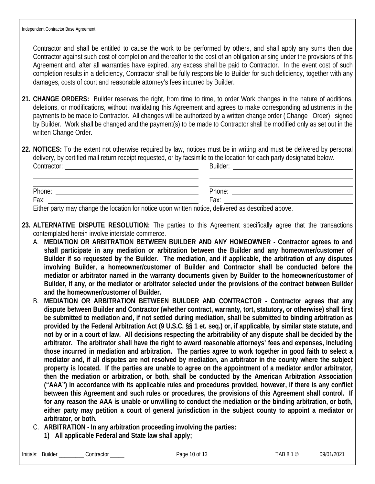Contractor and shall be entitled to cause the work to be performed by others, and shall apply any sums then due Contractor against such cost of completion and thereafter to the cost of an obligation arising under the provisions of this Agreement and, after all warranties have expired, any excess shall be paid to Contractor. In the event cost of such completion results in a deficiency, Contractor shall be fully responsible to Builder for such deficiency, together with any damages, costs of court and reasonable attorney's fees incurred by Builder.

- **21. CHANGE ORDERS:** Builder reserves the right, from time to time, to order Work changes in the nature of additions, deletions, or modifications, without invalidating this Agreement and agrees to make corresponding adjustments in the payments to be made to Contractor. All changes will be authorized by a written change order ( Change Order) signed by Builder. Work shall be changed and the payment(s) to be made to Contractor shall be modified only as set out in the written Change Order.
- **22. NOTICES:** To the extent not otherwise required by law, notices must be in writing and must be delivered by personal delivery, by certified mail return receipt requested, or by facsimile to the location for each party designated below. Contractor: Builder:

| Phone: |                                                                                                                 |
|--------|-----------------------------------------------------------------------------------------------------------------|
| Fax:   |                                                                                                                 |
|        | the contract of the contract of the contract of the contract of the contract of the contract of the contract of |

Either party may change the location for notice upon written notice, delivered as described above.

- **23. ALTERNATIVE DISPUTE RESOLUTION:** The parties to this Agreement specifically agree that the transactions contemplated herein involve interstate commerce.
	- A. **MEDIATION OR ARBITRATION BETWEEN BUILDER AND ANY HOMEOWNER Contractor agrees to and shall participate in any mediation or arbitration between the Builder and any homeowner/customer of Builder if so requested by the Builder. The mediation, and if applicable, the arbitration of any disputes involving Builder, a homeowner/customer of Builder and Contractor shall be conducted before the mediator or arbitrator named in the warranty documents given by Builder to the homeowner/customer of Builder, if any, or the mediator or arbitrator selected under the provisions of the contract between Builder and the homeowner/customer of Builder.**
	- B. **MEDIATION OR ARBITRATION BETWEEN BUILDER AND CONTRACTOR Contractor agrees that any dispute between Builder and Contractor (whether contract, warranty, tort, statutory, or otherwise) shall first be submitted to mediation and, if not settled during mediation, shall be submitted to binding arbitration as provided by the Federal Arbitration Act (9 U.S.C. §§ 1 et. seq.) or, if applicable, by similar state statute, and not by or in a court of law. All decisions respecting the arbitrability of any dispute shall be decided by the arbitrator. The arbitrator shall have the right to award reasonable attorneys' fees and expenses, including those incurred in mediation and arbitration. The parties agree to work together in good faith to select a mediator and, if all disputes are not resolved by mediation, an arbitrator in the county where the subject property is located. If the parties are unable to agree on the appointment of a mediator and/or arbitrator, then the mediation or arbitration, or both, shall be conducted by the American Arbitration Association ("AAA") in accordance with its applicable rules and procedures provided, however, if there is any conflict between this Agreement and such rules or procedures, the provisions of this Agreement shall control. If for any reason the AAA is unable or unwilling to conduct the mediation or the binding arbitration, or both, either party may petition a court of general jurisdiction in the subject county to appoint a mediator or arbitrator, or both.**
	- C. **ARBITRATION In any arbitration proceeding involving the parties:**
		- **1) All applicable Federal and State law shall apply;**

Initials: Builder \_\_\_\_\_\_\_\_ Contractor \_\_\_\_\_ Page 10 of 13 TAB 8.1 © 09/01/2021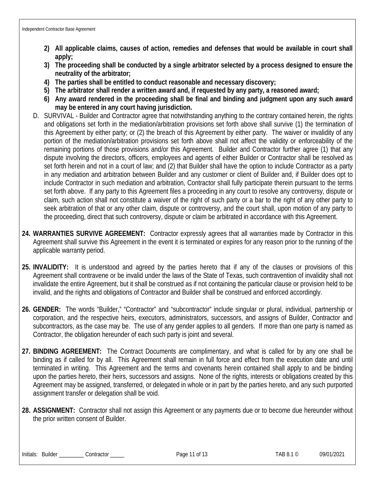- **2) All applicable claims, causes of action, remedies and defenses that would be available in court shall apply;**
- **3) The proceeding shall be conducted by a single arbitrator selected by a process designed to ensure the neutrality of the arbitrator;**
- **4) The parties shall be entitled to conduct reasonable and necessary discovery;**
- **5) The arbitrator shall render a written award and, if requested by any party, a reasoned award;**
- **6) Any award rendered in the proceeding shall be final and binding and judgment upon any such award may be entered in any court having jurisdiction.**
- D. SURVIVAL Builder and Contractor agree that notwithstanding anything to the contrary contained herein, the rights and obligations set forth in the mediation/arbitration provisions set forth above shall survive (1) the termination of this Agreement by either party; or (2) the breach of this Agreement by either party. The waiver or invalidity of any portion of the mediation/arbitration provisions set forth above shall not affect the validity or enforceability of the remaining portions of those provisions and/or this Agreement. Builder and Contractor further agree (1) that any dispute involving the directors, officers, employees and agents of either Builder or Contractor shall be resolved as set forth herein and not in a court of law; and (2) that Builder shall have the option to include Contractor as a party in any mediation and arbitration between Builder and any customer or client of Builder and, if Builder does opt to include Contractor in such mediation and arbitration, Contractor shall fully participate therein pursuant to the terms set forth above. If any party to this Agreement files a proceeding in any court to resolve any controversy, dispute or claim, such action shall not constitute a waiver of the right of such party or a bar to the right of any other party to seek arbitration of that or any other claim, dispute or controversy, and the court shall, upon motion of any party to the proceeding, direct that such controversy, dispute or claim be arbitrated in accordance with this Agreement.
- **24. WARRANTIES SURVIVE AGREEMENT:** Contractor expressly agrees that all warranties made by Contractor in this Agreement shall survive this Agreement in the event it is terminated or expires for any reason prior to the running of the applicable warranty period.
- **25. INVALIDITY:** It is understood and agreed by the parties hereto that if any of the clauses or provisions of this Agreement shall contravene or be invalid under the laws of the State of Texas, such contravention of invalidity shall not invalidate the entire Agreement, but it shall be construed as if not containing the particular clause or provision held to be invalid, and the rights and obligations of Contractor and Builder shall be construed and enforced accordingly.
- **26. GENDER:** The words "Builder," "Contractor" and "subcontractor" include singular or plural, individual, partnership or corporation, and the respective heirs, executors, administrators, successors, and assigns of Builder, Contractor and subcontractors, as the case may be. The use of any gender applies to all genders. If more than one party is named as Contractor, the obligation hereunder of each such party is joint and several.
- **27. BINDING AGREEMENT:** The Contract Documents are complimentary, and what is called for by any one shall be binding as if called for by all. This Agreement shall remain in full force and effect from the execution date and until terminated in writing. This Agreement and the terms and covenants herein contained shall apply to and be binding upon the parties hereto, their heirs, successors and assigns. None of the rights, interests or obligations created by this Agreement may be assigned, transferred, or delegated in whole or in part by the parties hereto, and any such purported assignment transfer or delegation shall be void.
- **28. ASSIGNMENT:** Contractor shall not assign this Agreement or any payments due or to become due hereunder without the prior written consent of Builder.

Initials: Builder \_\_\_\_\_\_\_\_ Contractor \_\_\_\_\_ Page 11 of 13 TAB 8.1 © 09/01/2021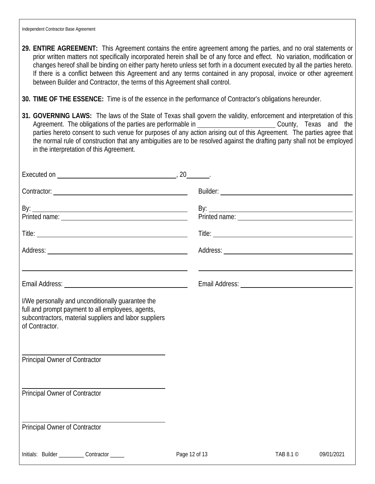- **29. ENTIRE AGREEMENT:** This Agreement contains the entire agreement among the parties, and no oral statements or prior written matters not specifically incorporated herein shall be of any force and effect. No variation, modification or changes hereof shall be binding on either party hereto unless set forth in a document executed by all the parties hereto. If there is a conflict between this Agreement and any terms contained in any proposal, invoice or other agreement between Builder and Contractor, the terms of this Agreement shall control.
- **30. TIME OF THE ESSENCE:** Time is of the essence in the performance of Contractor's obligations hereunder.
- **31. GOVERNING LAWS:** The laws of the State of Texas shall govern the validity, enforcement and interpretation of this Agreement. The obligations of the parties are performable in County, Texas and the parties hereto consent to such venue for purposes of any action arising out of this Agreement. The parties agree that the normal rule of construction that any ambiguities are to be resolved against the drafting party shall not be employed in the interpretation of this Agreement.

|                                                                                                                                                                                    | 20            |                 |            |
|------------------------------------------------------------------------------------------------------------------------------------------------------------------------------------|---------------|-----------------|------------|
|                                                                                                                                                                                    |               |                 |            |
| By: $\frac{1}{2}$                                                                                                                                                                  |               |                 |            |
|                                                                                                                                                                                    |               |                 |            |
|                                                                                                                                                                                    |               |                 |            |
|                                                                                                                                                                                    |               |                 |            |
|                                                                                                                                                                                    |               |                 |            |
| I/We personally and unconditionally guarantee the<br>full and prompt payment to all employees, agents,<br>subcontractors, material suppliers and labor suppliers<br>of Contractor. |               |                 |            |
| Principal Owner of Contractor                                                                                                                                                      |               |                 |            |
| Principal Owner of Contractor                                                                                                                                                      |               |                 |            |
| <b>Principal Owner of Contractor</b>                                                                                                                                               |               |                 |            |
| Initials: Builder __________ Contractor _____                                                                                                                                      | Page 12 of 13 | TAB 8.1 $\circ$ | 09/01/2021 |